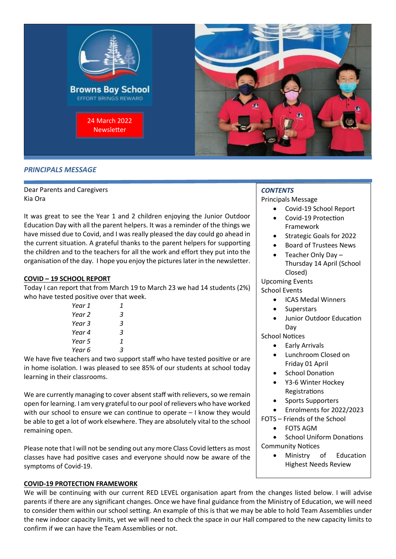

# *PRINCIPALS MESSAGE*

Dear Parents and Caregivers Kia Ora

It was great to see the Year 1 and 2 children enjoying the Junior Outdoor Education Day with all the parent helpers. It was a reminder of the things we have missed due to Covid, and I was really pleased the day could go ahead in the current situation. A grateful thanks to the parent helpers for supporting the children and to the teachers for all the work and effort they put into the organisation of the day. I hope you enjoy the pictures later in the newsletter.

# **COVID – 19 SCHOOL REPORT**

Today I can report that from March 19 to March 23 we had 14 students (2%) who have tested positive over that week.

| Year 1 | 1 |
|--------|---|
| Year 2 | 3 |
| Year 3 | 3 |
| Year 4 | 3 |
| Year 5 | 1 |
| Year 6 | 3 |
|        |   |

We have five teachers and two support staff who have tested positive or are in home isolation. I was pleased to see 85% of our students at school today learning in their classrooms.

We are currently managing to cover absent staff with relievers, so we remain open for learning. I am very grateful to our pool of relievers who have worked with our school to ensure we can continue to operate – I know they would be able to get a lot of work elsewhere. They are absolutely vital to the school remaining open.

Please note that I will not be sending out any more Class Covid letters as most classes have had positive cases and everyone should now be aware of the symptoms of Covid-19.

# **COVID-19 PROTECTION FRAMEWORK**

We will be continuing with our current RED LEVEL organisation apart from the changes listed below. I will advise parents if there are any significant changes. Once we have final guidance from the Ministry of Education, we will need to consider them within our school setting. An example of this is that we may be able to hold Team Assemblies under the new indoor capacity limits, yet we will need to check the space in our Hall compared to the new capacity limits to confirm if we can have the Team Assemblies or not.

# *CONTENTS*

Principals Message

- Covid-19 School Report
- Covid-19 Protection Framework
- Strategic Goals for 2022
- Board of Trustees News
- Teacher Only Day Thursday 14 April (School Closed)

# Upcoming Events

# School Events

- ICAS Medal Winners
- **Superstars**
- Junior Outdoor Education Day

# School Notices

- **Early Arrivals**
- Lunchroom Closed on Friday 01 April
- School Donation
- Y3-6 Winter Hockey Registrations
- Sports Supporters
- Enrolments for 2022/2023
- FOTS Friends of the School
	- FOTS AGM
- School Uniform Donations Community Notices
	- Ministry of Education Highest Needs Review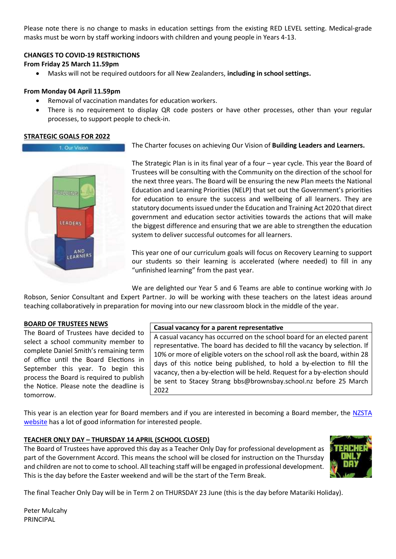Please note there is no change to masks in education settings from the existing RED LEVEL setting. Medical-grade masks must be worn by staff working indoors with children and young people in Years 4-13.

# **CHANGES TO COVID-19 RESTRICTIONS**

# **From Friday 25 March 11.59pm**

• Masks will not be required outdoors for all New Zealanders, **including in school settings.**

# **From Monday 04 April 11.59pm**

- Removal of vaccination mandates for education workers.
- There is no requirement to display QR code posters or have other processes, other than your regular processes, to support people to check-in.

# **STRATEGIC GOALS FOR 2022**

1. Our Vision

PEILDING LEADERS AND LEARNERS

The Charter focuses on achieving Our Vision of **Building Leaders and Learners.**

The Strategic Plan is in its final year of a four – year cycle. This year the Board of Trustees will be consulting with the Community on the direction of the school for the next three years. The Board will be ensuring the new Plan meets the National Education and Learning Priorities (NELP) that set out the Government's priorities for education to ensure the success and wellbeing of all learners. They are statutory documents issued under the Education and Training Act 2020 that direct government and education sector activities towards the actions that will make the biggest difference and ensuring that we are able to strengthen the education system to deliver successful outcomes for all learners.

This year one of our curriculum goals will focus on Recovery Learning to support our students so their learning is accelerated (where needed) to fill in any "unfinished learning" from the past year.

We are delighted our Year 5 and 6 Teams are able to continue working with Jo

Robson, Senior Consultant and Expert Partner. Jo will be working with these teachers on the latest ideas around teaching collaboratively in preparation for moving into our new classroom block in the middle of the year.

# **BOARD OF TRUSTEES NEWS**

The Board of Trustees have decided to select a school community member to complete Daniel Smith's remaining term of office until the Board Elections in September this year. To begin this process the Board is required to publish the Notice. Please note the deadline is tomorrow.

# **Casual vacancy for a parent representative**

A casual vacancy has occurred on the school board for an elected parent representative. The board has decided to fill the vacancy by selection. If 10% or more of eligible voters on the school roll ask the board, within 28 days of this notice being published, to hold a by-election to fill the vacancy, then a by-election will be held. Request for a by-election should be sent to Stacey Strang bbs@brownsbay.school.nz before 25 March 2022

This year is an election year for Board members and if you are interested in becoming a Board member, the NZSTA [website](https://www.schoolboardelections.org.nz/becoming-a-board-member/) has a lot of good information for interested people.

# **TEACHER ONLY DAY – THURSDAY 14 APRIL (SCHOOL CLOSED)**

The Board of Trustees have approved this day as a Teacher Only Day for professional development as part of the Government Accord. This means the school will be closed for instruction on the Thursday and children are not to come to school. All teaching staff will be engaged in professional development. This is the day before the Easter weekend and will be the start of the Term Break.



The final Teacher Only Day will be in Term 2 on THURSDAY 23 June (this is the day before Matariki Holiday).

Peter Mulcahy PRINCIPAL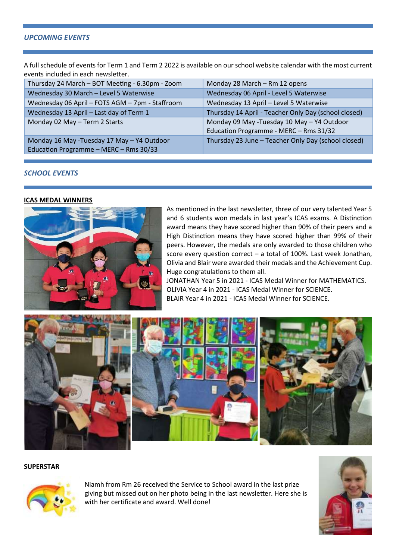# *UPCOMING EVENTS*

A full schedule of events for Term 1 and Term 2 2022 is available on our school website calendar with the most current events included in each newsletter.

| Thursday 24 March - BOT Meeting - 6.30pm - Zoom                                      | Monday 28 March - Rm 12 opens                                                        |
|--------------------------------------------------------------------------------------|--------------------------------------------------------------------------------------|
| Wednesday 30 March - Level 5 Waterwise                                               | Wednesday 06 April - Level 5 Waterwise                                               |
| Wednesday 06 April - FOTS AGM - 7pm - Staffroom                                      | Wednesday 13 April - Level 5 Waterwise                                               |
| Wednesday 13 April - Last day of Term 1                                              | Thursday 14 April - Teacher Only Day (school closed)                                 |
| Monday 02 May - Term 2 Starts                                                        | Monday 09 May -Tuesday 10 May - Y4 Outdoor<br>Education Programme - MERC - Rms 31/32 |
| Monday 16 May -Tuesday 17 May - Y4 Outdoor<br>Education Programme - MERC - Rms 30/33 | Thursday 23 June - Teacher Only Day (school closed)                                  |

# *SCHOOL EVENTS*

# **ICAS MEDAL WINNERS**



As mentioned in the last newsletter, three of our very talented Year 5 and 6 students won medals in last year's ICAS exams. A Distinction award means they have scored higher than 90% of their peers and a High Distinction means they have scored higher than 99% of their peers. However, the medals are only awarded to those children who score every question correct – a total of 100%. Last week Jonathan, Olivia and Blair were awarded their medals and the Achievement Cup. Huge congratulations to them all.

JONATHAN Year 5 in 2021 - ICAS Medal Winner for MATHEMATICS. OLIVIA Year 4 in 2021 - ICAS Medal Winner for SCIENCE. BLAIR Year 4 in 2021 - ICAS Medal Winner for SCIENCE.



#### **SUPERSTAR**



Niamh from Rm 26 received the Service to School award in the last prize giving but missed out on her photo being in the last newsletter. Here she is with her certificate and award. Well done!

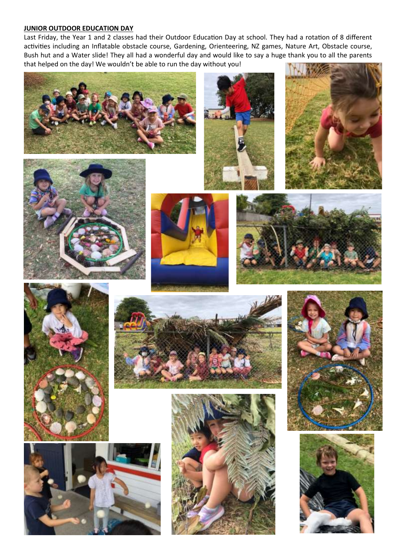# **JUNIOR OUTDOOR EDUCATION DAY**

Last Friday, the Year 1 and 2 classes had their Outdoor Education Day at school. They had a rotation of 8 different activities including an Inflatable obstacle course, Gardening, Orienteering, NZ games, Nature Art, Obstacle course, Bush hut and a Water slide! They all had a wonderful day and would like to say a huge thank you to all the parents that helped on the day! We wouldn't be able to run the day without you!























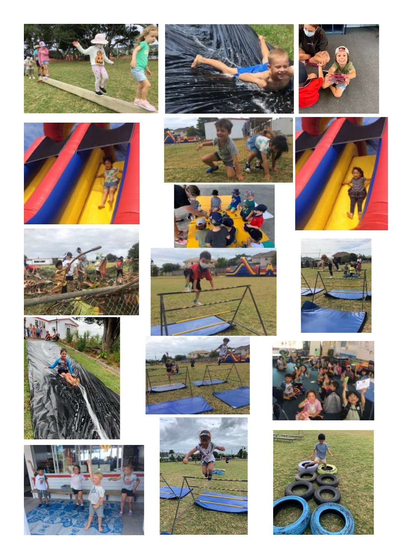





























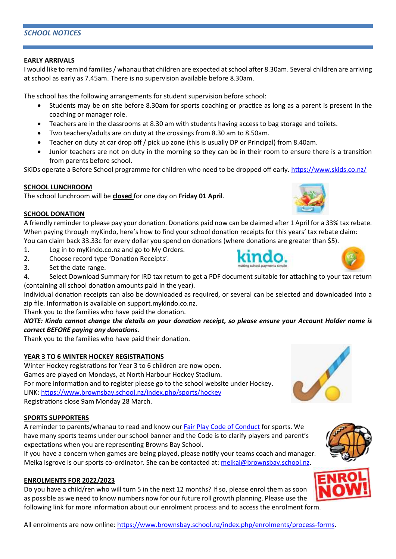# **EARLY ARRIVALS**

I would like to remind families / whanau that children are expected at school after 8.30am. Several children are arriving at school as early as 7.45am. There is no supervision available before 8.30am.

The school has the following arrangements for student supervision before school:

- Students may be on site before 8.30am for sports coaching or practice as long as a parent is present in the coaching or manager role.
- Teachers are in the classrooms at 8.30 am with students having access to bag storage and toilets.
- Two teachers/adults are on duty at the crossings from 8.30 am to 8.50am.
- Teacher on duty at car drop off / pick up zone (this is usually DP or Principal) from 8.40am.
- Junior teachers are not on duty in the morning so they can be in their room to ensure there is a transition from parents before school.

SKiDs operate a Before School programme for children who need to be dropped off early. <https://www.skids.co.nz/>

# **SCHOOL LUNCHROOM**

The school lunchroom will be **closed** for one day on **Friday 01 April**.

# **SCHOOL DONATION**

A friendly reminder to please pay your donation. Donations paid now can be claimed after 1 April for a 33% tax rebate. When paying through myKindo, here's how to find your school donation receipts for this years' tax rebate claim: You can claim back 33.33c for every dollar you spend on donations (where donations are greater than \$5).

- 1. Log in to myKindo.co.nz and go to My Orders.
- 2. Choose record type 'Donation Receipts'.
- 3. Set the date range.
- 4. Select Download Summary for IRD tax return to get a PDF document suitable for attaching to your tax return (containing all school donation amounts paid in the year).

Individual donation receipts can also be downloaded as required, or several can be selected and downloaded into a zip file. Information is available on support.mykindo.co.nz.

# Thank you to the families who have paid the donation.

# *NOTE: Kindo cannot change the details on your donation receipt, so please ensure your Account Holder name is correct BEFORE paying any donations.*

Thank you to the families who have paid their donation.

# **YEAR 3 TO 6 WINTER HOCKEY REGISTRATIONS**

Winter Hockey registrations for Year 3 to 6 children are now open. Games are played on Mondays, at North Harbour Hockey Stadium. For more information and to register please go to the school website under Hockey. LINK[: https://www.brownsbay.school.nz/index.php/sports/hockey](https://www.brownsbay.school.nz/index.php/sports/hockey) Registrations close 9am Monday 28 March.

#### **SPORTS SUPPORTERS**

A reminder to parents/whanau to read and know ou[r Fair Play Code of Conduct](https://www.brownsbay.school.nz/index.php/sports/code-conduct) for sports. We have many sports teams under our school banner and the Code is to clarify players and parent's expectations when you are representing Browns Bay School.

If you have a concern when games are being played, please notify your teams coach and manager. Meika Isgrove is our sports co-ordinator. She can be contacted at: [meikai@brownsbay.school.nz.](mailto:meikai@brownsbay.school.nz)

# **ENROLMENTS FOR 2022/2023**

Do you have a child/ren who will turn 5 in the next 12 months? If so, please enrol them as soon as possible as we need to know numbers now for our future roll growth planning. Please use the following link for more information about our enrolment process and to access the enrolment form.

All enrolments are now online: [https://www.brownsbay.school.nz/index.php/enrolments/process-forms.](https://www.brownsbay.school.nz/index.php/enrolments/process-forms)







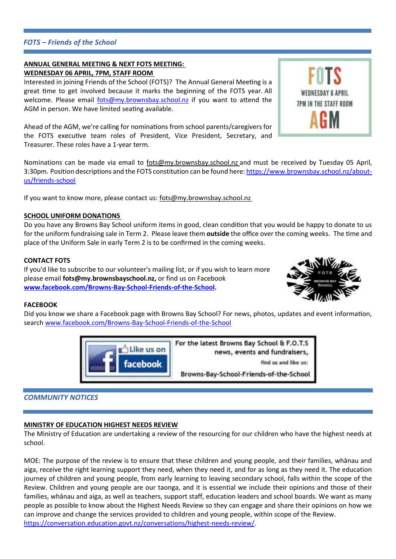# *FOTS – Friends of the School*

# **ANNUAL GENERAL MEETING & NEXT FOTS MEETING: WEDNESDAY 06 APRIL, 7PM, STAFF ROOM**

Interested in joining Friends of the School (FOTS)? The Annual General Meeting is a great time to get involved because it marks the beginning of the FOTS year. All welcome. Please email [fots@my.brownsbay.school.nz](mailto:fots@my.brownsbay.school.nz) if you want to attend the AGM in person. We have limited seating available.

Ahead of the AGM, we're calling for nominations from school parents/caregivers for the FOTS executive team roles of President, Vice President, Secretary, and Treasurer. These roles have a 1-year term.

Nominations can be made via email to fots@my.brownsbay.school.nz and must be received by Tuesday 05 April, 3:30pm. Position descriptions and the FOTS constitution can be found here[: https://www.brownsbay.school.nz/about](https://www.brownsbay.school.nz/about-us/friends-school)[us/friends-school](https://www.brownsbay.school.nz/about-us/friends-school)

If you want to know more, please contact us: fots@my.brownsbay.school.nz

# **SCHOOL UNIFORM DONATIONS**

Do you have any Browns Bay School uniform items in good, clean condition that you would be happy to donate to us for the uniform fundraising sale in Term 2. Please leave them **outside** the office over the coming weeks. The time and place of the Uniform Sale in early Term 2 is to be confirmed in the coming weeks.

# **CONTACT FOTS**

If you'd like to subscribe to our volunteer's mailing list, or if you wish to learn more please email **fots@my.brownsbayschool.nz,** or find us on Facebook **[www.facebook.com/Browns-Bay-School-Friends-of-the-School.](http://www.facebook.com/Browns-Bay-School-Friends-of-the-School)**

# **FACEBOOK**

Did you know we share a Facebook page with Browns Bay School? For news, photos, updates and event information, search [www.facebook.com/Browns-Bay-School-Friends-of-the-School](http://www.facebook.com/Browns-Bay-School-Friends-of-the-School)



# *COMMUNITY NOTICES*

# **MINISTRY OF EDUCATION HIGHEST NEEDS REVIEW**

The Ministry of Education are undertaking a review of the resourcing for our children who have the highest needs at school.

MOE: The purpose of the review is to ensure that these children and young people, and their families, whānau and aiga, receive the right learning support they need, when they need it, and for as long as they need it. The education journey of children and young people, from early learning to leaving secondary school, falls within the scope of the Review. Children and young people are our taonga, and it is essential we include their opinions and those of their families, whānau and aiga, as well as teachers, support staff, education leaders and school boards. We want as many people as possible to know about the Highest Needs Review so they can engage and share their opinions on how we can improve and change the services provided to children and young people, within scope of the Review. [https://conversation.education.govt.nz/conversations/highest-needs-review/.](https://conversation.education.govt.nz/conversations/highest-needs-review/)



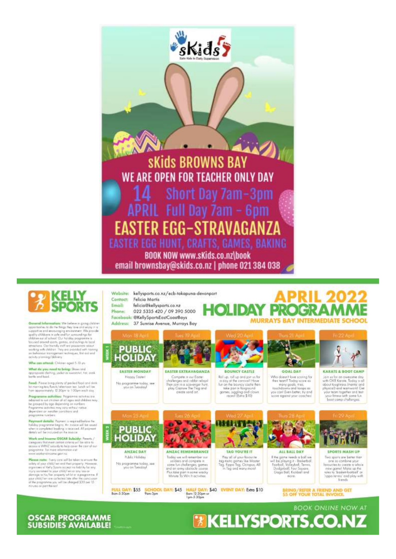



**General Information:** We hole<br>or a given galaxies approach to the fitting they low and energy<br> $m$  is approximated in the comparing analogy<br>and apply the density and apply the density and  $\alpha$  and<br> $\alpha$  and  $\alpha$  is a dista

Whe can attend: Chicco aged 5-13 yrs What the year need to bring: Show and<br>appropriate closing: inclusion announced for, and<br>both and load

**Food:** Floor breg please of packed foot one sind:<br>In: repring lea/land/observatives, longly will be<br>have approximately 12.30pm to 1.00pm each step

 $\begin{array}{l} \textbf{P}(\textbf{c}) = \textbf{P}(\textbf{c}) = \textbf{P}(\textbf{c}) = \textbf{P}(\textbf{c}) = \textbf{P}(\textbf{c}) = \textbf{P}(\textbf{c}) = \textbf{P}(\textbf{c}) = \textbf{P}(\textbf{c}) = \textbf{P}(\textbf{c}) = \textbf{P}(\textbf{c}) = \textbf{P}(\textbf{c}) = \textbf{P}(\textbf{c}) = \textbf{P}(\textbf{c}) = \textbf{P}(\textbf{c}) = \textbf{P}(\textbf{c}) = \textbf{P}(\textbf{c}) = \textbf{P$ 

**Payment details:** Payment is expend before the haldest programme begins. As invoice will be used<br>when a completed backing is received. All payment<br>details will be included on the love on

Wark and become OSCAR Subsidy: Panets /<br>careguers that met care in cataria will be able to<br>access a WINZ security to help cover the past of our programme for more reformation and www.workeyerence.gov.ww

 $\begin{tabular}{l|p{0.5em}p{0.5em}p{0.5em}p{0.5em}p{0.5em}p{0.5em}p{0.5em}p{0.5em}p{0.5em}p{0.5em}p{0.5em}p{0.5em}p{0.5em}p{0.5em}p{0.5em}p{0.5em}p{0.5em}p{0.5em}p{0.5em}p{0.5em}p{0.5em}p{0.5em}p{0.5em}p{0.5em}p{0.5em}p{0.5em}p{0.5em}p{0.5em}p{0.5em}p{0.5em}p{$ 

Website: kellysports.co.nz/ecb-takapuna-devanport Contact: Felicia Martis Fmoil felicia@kellysports.co.nz PRC **JGR Ay** 022 5335 420 / 09 390 5000 Phone: Facebook: @KellySportsEastCoastBays **MURRAYS BAY INTERMEDIATE SCHO** Address: 37 Sunrise Avenue, Murrays Bay **PUBLIC HOLIDAY BOUNCY CASTLE EASTER MONDAY** EASTER EXTRAVAGANZA **GOALDAY** Compete is our Easter<br>shotlerges and rabbe relayed<br>Thus part in a scovinger hart, play Copraise The Fing and<br>create sand ort. Not up, rail up and pin us for<br>a day of the canceal Have<br>for on the boxings calle then<br>take point is largered<br>going and alows<br>(going) and alows<br> $\frac{1}{2}$ <br>(and  $\frac{1}{2}$  love) Who doesn't love scoring for<br>the team? Today score as<br>the team? Today score as<br>toschdowns and teams as<br>you cost Even better, thr and Happy Easter Na programme today, see<br>you on Tuesday! score manuf your coachest

 $\mathcal{A}$ 

**TAG YOU'RE IT** 

読み

**ANZAC REMEMBRANCE** 

Today we will remember zur<br>soldiers and compete =<br>some fun challenges, games<br>and an army obstacle source

Flux take part in some wacky<br>Minute To Win It activities

FULL DAY: \$55 SCHOOL DAY: \$45 HALF DAY: \$40 EVENT DAY: Edith \$10<br>Bon-310pm 9am-3pm Ham-530pm Fun-530pm

**PUBLIC** 

**HOLIDAY** 

**ANZAC DAY** 

Public Holiday

No programme today, see<br>you on fueeday!



If the gome needs a boll we will be playing it - Basketball<br>Faarball, Volleyball, Terras, Dodgeboll Four Square<br>Gaan Ball Kickball and mount



 $\hat{N}$ 

**KARATE & BOOT CAMP** 

Join as for an awesome day<br>with GKR Karale, Taday is all

**SPORTS MASH UP** Two sports are better than<br>one so combine your<br>favour/es to create a whole The game Move up the<br>minute "basket-bottal" or<br>"reportents" and play with<br>"

BRING/REFER A FRIEND AND GET



# **BOOK ONLINE NOW AT EXELLYSPORTS.CO.NZ**